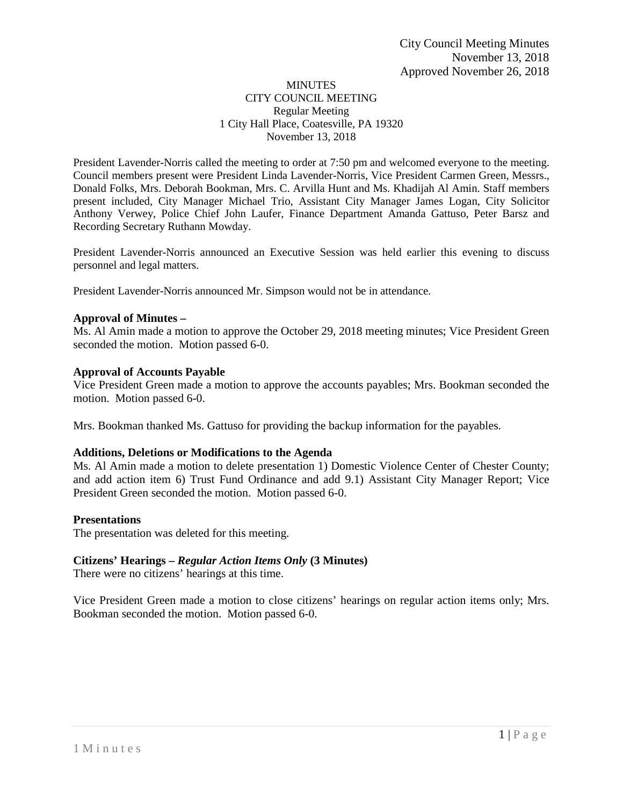### **MINUTES** CITY COUNCIL MEETING Regular Meeting 1 City Hall Place, Coatesville, PA 19320 November 13, 2018

President Lavender-Norris called the meeting to order at 7:50 pm and welcomed everyone to the meeting. Council members present were President Linda Lavender-Norris, Vice President Carmen Green, Messrs., Donald Folks, Mrs. Deborah Bookman, Mrs. C. Arvilla Hunt and Ms. Khadijah Al Amin. Staff members present included, City Manager Michael Trio, Assistant City Manager James Logan, City Solicitor Anthony Verwey, Police Chief John Laufer, Finance Department Amanda Gattuso, Peter Barsz and Recording Secretary Ruthann Mowday.

President Lavender-Norris announced an Executive Session was held earlier this evening to discuss personnel and legal matters.

President Lavender-Norris announced Mr. Simpson would not be in attendance.

### **Approval of Minutes –**

Ms. Al Amin made a motion to approve the October 29, 2018 meeting minutes; Vice President Green seconded the motion. Motion passed 6-0.

### **Approval of Accounts Payable**

Vice President Green made a motion to approve the accounts payables; Mrs. Bookman seconded the motion. Motion passed 6-0.

Mrs. Bookman thanked Ms. Gattuso for providing the backup information for the payables.

### **Additions, Deletions or Modifications to the Agenda**

Ms. Al Amin made a motion to delete presentation 1) Domestic Violence Center of Chester County; and add action item 6) Trust Fund Ordinance and add 9.1) Assistant City Manager Report; Vice President Green seconded the motion. Motion passed 6-0.

### **Presentations**

The presentation was deleted for this meeting.

# **Citizens' Hearings –** *Regular Action Items Only* **(3 Minutes)**

There were no citizens' hearings at this time.

Vice President Green made a motion to close citizens' hearings on regular action items only; Mrs. Bookman seconded the motion. Motion passed 6-0.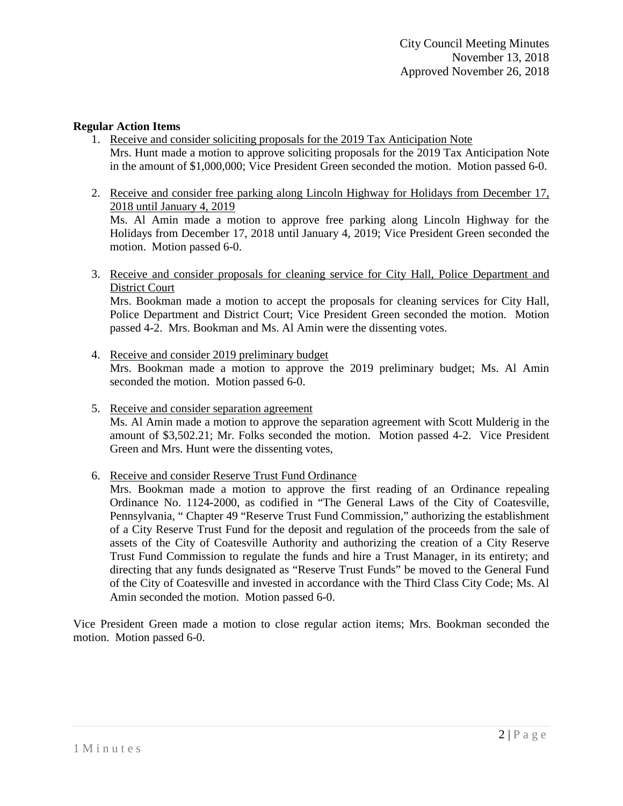### **Regular Action Items**

- 1. Receive and consider soliciting proposals for the 2019 Tax Anticipation Note Mrs. Hunt made a motion to approve soliciting proposals for the 2019 Tax Anticipation Note in the amount of \$1,000,000; Vice President Green seconded the motion. Motion passed 6-0.
- 2. Receive and consider free parking along Lincoln Highway for Holidays from December 17, 2018 until January 4, 2019

Ms. Al Amin made a motion to approve free parking along Lincoln Highway for the Holidays from December 17, 2018 until January 4, 2019; Vice President Green seconded the motion. Motion passed 6-0.

3. Receive and consider proposals for cleaning service for City Hall, Police Department and District Court

Mrs. Bookman made a motion to accept the proposals for cleaning services for City Hall, Police Department and District Court; Vice President Green seconded the motion. Motion passed 4-2. Mrs. Bookman and Ms. Al Amin were the dissenting votes.

- 4. Receive and consider 2019 preliminary budget Mrs. Bookman made a motion to approve the 2019 preliminary budget; Ms. Al Amin seconded the motion. Motion passed 6-0.
- 5. Receive and consider separation agreement

Ms. Al Amin made a motion to approve the separation agreement with Scott Mulderig in the amount of \$3,502.21; Mr. Folks seconded the motion. Motion passed 4-2. Vice President Green and Mrs. Hunt were the dissenting votes,

6. Receive and consider Reserve Trust Fund Ordinance

Mrs. Bookman made a motion to approve the first reading of an Ordinance repealing Ordinance No. 1124-2000, as codified in "The General Laws of the City of Coatesville, Pennsylvania, " Chapter 49 "Reserve Trust Fund Commission," authorizing the establishment of a City Reserve Trust Fund for the deposit and regulation of the proceeds from the sale of assets of the City of Coatesville Authority and authorizing the creation of a City Reserve Trust Fund Commission to regulate the funds and hire a Trust Manager, in its entirety; and directing that any funds designated as "Reserve Trust Funds" be moved to the General Fund of the City of Coatesville and invested in accordance with the Third Class City Code; Ms. Al Amin seconded the motion. Motion passed 6-0.

Vice President Green made a motion to close regular action items; Mrs. Bookman seconded the motion. Motion passed 6-0.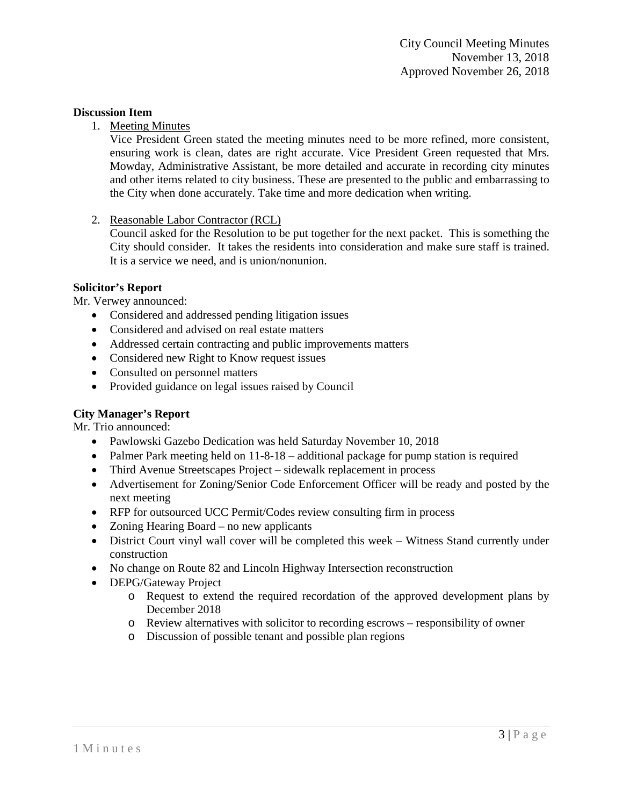### **Discussion Item**

1. Meeting Minutes

Vice President Green stated the meeting minutes need to be more refined, more consistent, ensuring work is clean, dates are right accurate. Vice President Green requested that Mrs. Mowday, Administrative Assistant, be more detailed and accurate in recording city minutes and other items related to city business. These are presented to the public and embarrassing to the City when done accurately. Take time and more dedication when writing.

2. Reasonable Labor Contractor (RCL)

Council asked for the Resolution to be put together for the next packet. This is something the City should consider. It takes the residents into consideration and make sure staff is trained. It is a service we need, and is union/nonunion.

# **Solicitor's Report**

Mr. Verwey announced:

- Considered and addressed pending litigation issues
- Considered and advised on real estate matters
- Addressed certain contracting and public improvements matters
- Considered new Right to Know request issues
- Consulted on personnel matters
- Provided guidance on legal issues raised by Council

# **City Manager's Report**

Mr. Trio announced:

- Pawlowski Gazebo Dedication was held Saturday November 10, 2018
- Palmer Park meeting held on 11-8-18 additional package for pump station is required
- Third Avenue Streetscapes Project sidewalk replacement in process
- Advertisement for Zoning/Senior Code Enforcement Officer will be ready and posted by the next meeting
- RFP for outsourced UCC Permit/Codes review consulting firm in process
- Zoning Hearing Board no new applicants
- District Court vinyl wall cover will be completed this week Witness Stand currently under construction
- No change on Route 82 and Lincoln Highway Intersection reconstruction
- DEPG/Gateway Project
	- o Request to extend the required recordation of the approved development plans by December 2018
	- o Review alternatives with solicitor to recording escrows responsibility of owner
	- o Discussion of possible tenant and possible plan regions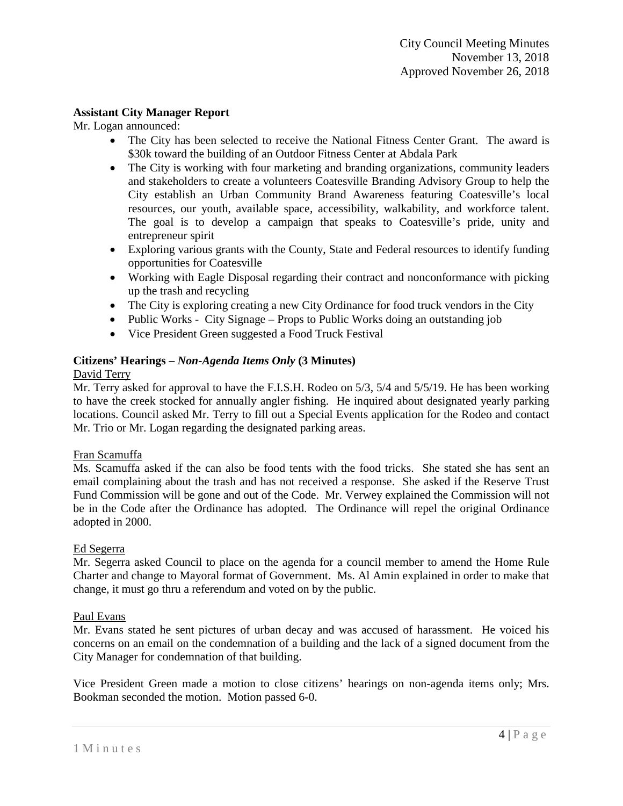# **Assistant City Manager Report**

Mr. Logan announced:

- The City has been selected to receive the National Fitness Center Grant. The award is \$30k toward the building of an Outdoor Fitness Center at Abdala Park
- The City is working with four marketing and branding organizations, community leaders and stakeholders to create a volunteers Coatesville Branding Advisory Group to help the City establish an Urban Community Brand Awareness featuring Coatesville's local resources, our youth, available space, accessibility, walkability, and workforce talent. The goal is to develop a campaign that speaks to Coatesville's pride, unity and entrepreneur spirit
- Exploring various grants with the County, State and Federal resources to identify funding opportunities for Coatesville
- Working with Eagle Disposal regarding their contract and nonconformance with picking up the trash and recycling
- The City is exploring creating a new City Ordinance for food truck vendors in the City
- Public Works City Signage Props to Public Works doing an outstanding job
- Vice President Green suggested a Food Truck Festival

# **Citizens' Hearings –** *Non-Agenda Items Only* **(3 Minutes)**

### David Terry

Mr. Terry asked for approval to have the F.I.S.H. Rodeo on 5/3, 5/4 and 5/5/19. He has been working to have the creek stocked for annually angler fishing. He inquired about designated yearly parking locations. Council asked Mr. Terry to fill out a Special Events application for the Rodeo and contact Mr. Trio or Mr. Logan regarding the designated parking areas.

# Fran Scamuffa

Ms. Scamuffa asked if the can also be food tents with the food tricks. She stated she has sent an email complaining about the trash and has not received a response. She asked if the Reserve Trust Fund Commission will be gone and out of the Code. Mr. Verwey explained the Commission will not be in the Code after the Ordinance has adopted. The Ordinance will repel the original Ordinance adopted in 2000.

### Ed Segerra

Mr. Segerra asked Council to place on the agenda for a council member to amend the Home Rule Charter and change to Mayoral format of Government. Ms. Al Amin explained in order to make that change, it must go thru a referendum and voted on by the public.

### Paul Evans

Mr. Evans stated he sent pictures of urban decay and was accused of harassment. He voiced his concerns on an email on the condemnation of a building and the lack of a signed document from the City Manager for condemnation of that building.

Vice President Green made a motion to close citizens' hearings on non-agenda items only; Mrs. Bookman seconded the motion. Motion passed 6-0.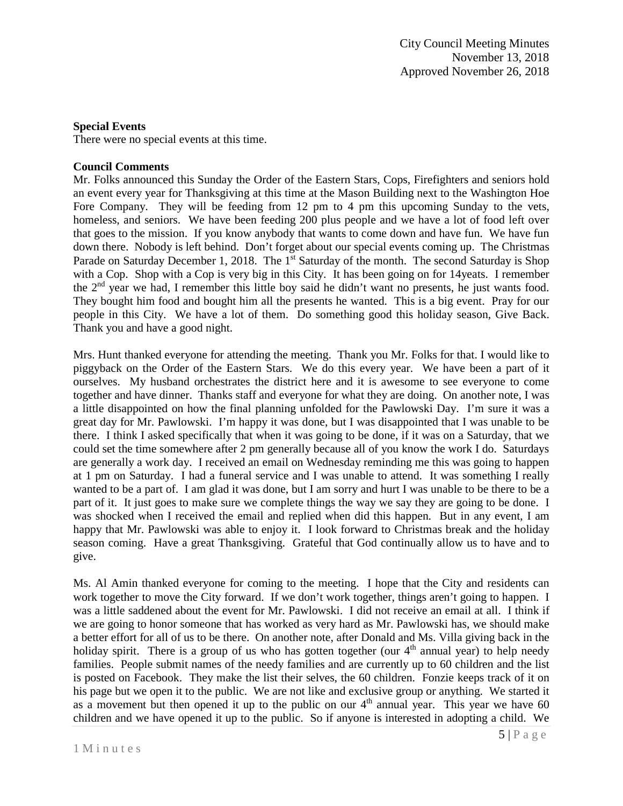# **Special Events**

There were no special events at this time.

# **Council Comments**

Mr. Folks announced this Sunday the Order of the Eastern Stars, Cops, Firefighters and seniors hold an event every year for Thanksgiving at this time at the Mason Building next to the Washington Hoe Fore Company. They will be feeding from 12 pm to 4 pm this upcoming Sunday to the vets, homeless, and seniors. We have been feeding 200 plus people and we have a lot of food left over that goes to the mission. If you know anybody that wants to come down and have fun. We have fun down there. Nobody is left behind. Don't forget about our special events coming up. The Christmas Parade on Saturday December 1, 2018. The 1<sup>st</sup> Saturday of the month. The second Saturday is Shop with a Cop. Shop with a Cop is very big in this City. It has been going on for 14 yeats. I remember the 2nd year we had, I remember this little boy said he didn't want no presents, he just wants food. They bought him food and bought him all the presents he wanted. This is a big event. Pray for our people in this City. We have a lot of them. Do something good this holiday season, Give Back. Thank you and have a good night.

Mrs. Hunt thanked everyone for attending the meeting. Thank you Mr. Folks for that. I would like to piggyback on the Order of the Eastern Stars. We do this every year. We have been a part of it ourselves. My husband orchestrates the district here and it is awesome to see everyone to come together and have dinner. Thanks staff and everyone for what they are doing. On another note, I was a little disappointed on how the final planning unfolded for the Pawlowski Day. I'm sure it was a great day for Mr. Pawlowski. I'm happy it was done, but I was disappointed that I was unable to be there. I think I asked specifically that when it was going to be done, if it was on a Saturday, that we could set the time somewhere after 2 pm generally because all of you know the work I do. Saturdays are generally a work day. I received an email on Wednesday reminding me this was going to happen at 1 pm on Saturday. I had a funeral service and I was unable to attend. It was something I really wanted to be a part of. I am glad it was done, but I am sorry and hurt I was unable to be there to be a part of it. It just goes to make sure we complete things the way we say they are going to be done. I was shocked when I received the email and replied when did this happen. But in any event, I am happy that Mr. Pawlowski was able to enjoy it. I look forward to Christmas break and the holiday season coming. Have a great Thanksgiving. Grateful that God continually allow us to have and to give.

Ms. Al Amin thanked everyone for coming to the meeting. I hope that the City and residents can work together to move the City forward. If we don't work together, things aren't going to happen. I was a little saddened about the event for Mr. Pawlowski. I did not receive an email at all. I think if we are going to honor someone that has worked as very hard as Mr. Pawlowski has, we should make a better effort for all of us to be there. On another note, after Donald and Ms. Villa giving back in the holiday spirit. There is a group of us who has gotten together (our  $4<sup>th</sup>$  annual year) to help needy families. People submit names of the needy families and are currently up to 60 children and the list is posted on Facebook. They make the list their selves, the 60 children. Fonzie keeps track of it on his page but we open it to the public. We are not like and exclusive group or anything. We started it as a movement but then opened it up to the public on our  $4<sup>th</sup>$  annual year. This year we have 60 children and we have opened it up to the public. So if anyone is interested in adopting a child. We